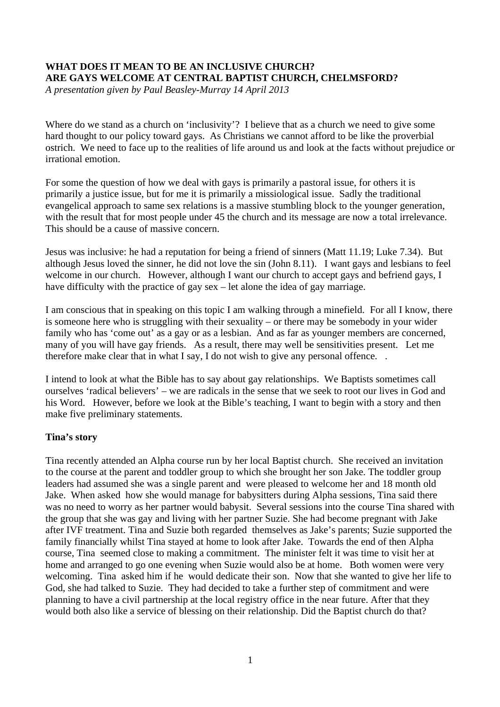# **WHAT DOES IT MEAN TO BE AN INCLUSIVE CHURCH? ARE GAYS WELCOME AT CENTRAL BAPTIST CHURCH, CHELMSFORD?**

*A presentation given by Paul Beasley-Murray 14 April 2013*

Where do we stand as a church on 'inclusivity'? I believe that as a church we need to give some hard thought to our policy toward gays. As Christians we cannot afford to be like the proverbial ostrich. We need to face up to the realities of life around us and look at the facts without prejudice or irrational emotion.

For some the question of how we deal with gays is primarily a pastoral issue, for others it is primarily a justice issue, but for me it is primarily a missiological issue. Sadly the traditional evangelical approach to same sex relations is a massive stumbling block to the younger generation, with the result that for most people under 45 the church and its message are now a total irrelevance. This should be a cause of massive concern.

Jesus was inclusive: he had a reputation for being a friend of sinners (Matt 11.19; Luke 7.34). But although Jesus loved the sinner, he did not love the sin (John 8.11). I want gays and lesbians to feel welcome in our church. However, although I want our church to accept gays and befriend gays, I have difficulty with the practice of gay sex – let alone the idea of gay marriage.

I am conscious that in speaking on this topic I am walking through a minefield. For all I know, there is someone here who is struggling with their sexuality – or there may be somebody in your wider family who has 'come out' as a gay or as a lesbian. And as far as younger members are concerned, many of you will have gay friends. As a result, there may well be sensitivities present. Let me therefore make clear that in what I say, I do not wish to give any personal offence. .

I intend to look at what the Bible has to say about gay relationships. We Baptists sometimes call ourselves 'radical believers' – we are radicals in the sense that we seek to root our lives in God and his Word. However, before we look at the Bible's teaching, I want to begin with a story and then make five preliminary statements.

## **Tina's story**

Tina recently attended an Alpha course run by her local Baptist church. She received an invitation to the course at the parent and toddler group to which she brought her son Jake. The toddler group leaders had assumed she was a single parent and were pleased to welcome her and 18 month old Jake. When asked how she would manage for babysitters during Alpha sessions, Tina said there was no need to worry as her partner would babysit. Several sessions into the course Tina shared with the group that she was gay and living with her partner Suzie. She had become pregnant with Jake after IVF treatment. Tina and Suzie both regarded themselves as Jake's parents; Suzie supported the family financially whilst Tina stayed at home to look after Jake. Towards the end of then Alpha course, Tina seemed close to making a commitment. The minister felt it was time to visit her at home and arranged to go one evening when Suzie would also be at home. Both women were very welcoming. Tina asked him if he would dedicate their son. Now that she wanted to give her life to God, she had talked to Suzie. They had decided to take a further step of commitment and were planning to have a civil partnership at the local registry office in the near future. After that they would both also like a service of blessing on their relationship. Did the Baptist church do that?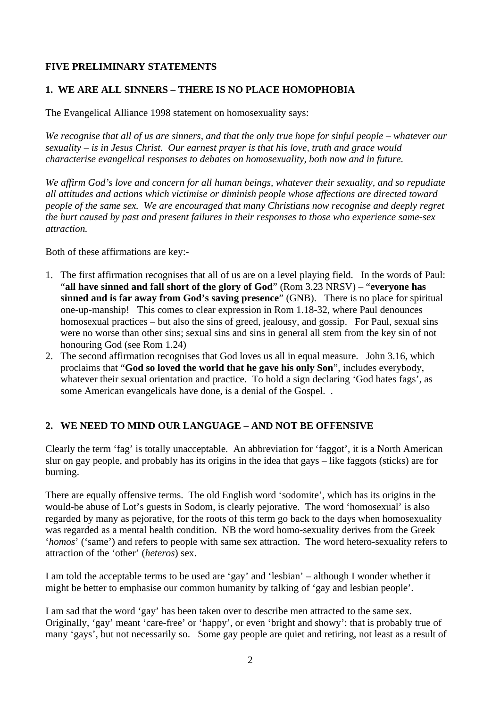## **FIVE PRELIMINARY STATEMENTS**

## **1. WE ARE ALL SINNERS – THERE IS NO PLACE HOMOPHOBIA**

The Evangelical Alliance 1998 statement on homosexuality says:

*We recognise that all of us are sinners, and that the only true hope for sinful people – whatever our sexuality – is in Jesus Christ. Our earnest prayer is that his love, truth and grace would characterise evangelical responses to debates on homosexuality, both now and in future.*

*We affirm God's love and concern for all human beings, whatever their sexuality, and so repudiate all attitudes and actions which victimise or diminish people whose affections are directed toward people of the same sex. We are encouraged that many Christians now recognise and deeply regret the hurt caused by past and present failures in their responses to those who experience same-sex attraction.*

Both of these affirmations are key:-

- 1. The first affirmation recognises that all of us are on a level playing field. In the words of Paul: "**all have sinned and fall short of the glory of God**" (Rom 3.23 NRSV) – "**everyone has sinned and is far away from God's saving presence**" (GNB). There is no place for spiritual one-up-manship! This comes to clear expression in Rom 1.18-32, where Paul denounces homosexual practices – but also the sins of greed, jealousy, and gossip. For Paul, sexual sins were no worse than other sins; sexual sins and sins in general all stem from the key sin of not honouring God (see Rom 1.24)
- 2. The second affirmation recognises that God loves us all in equal measure. John 3.16, which proclaims that "**God so loved the world that he gave his only Son**", includes everybody, whatever their sexual orientation and practice. To hold a sign declaring 'God hates fags', as some American evangelicals have done, is a denial of the Gospel. .

# **2. WE NEED TO MIND OUR LANGUAGE – AND NOT BE OFFENSIVE**

Clearly the term 'fag' is totally unacceptable. An abbreviation for 'faggot', it is a North American slur on gay people, and probably has its origins in the idea that gays – like faggots (sticks) are for burning.

There are equally offensive terms. The old English word 'sodomite', which has its origins in the would-be abuse of Lot's guests in Sodom, is clearly pejorative. The word 'homosexual' is also regarded by many as pejorative, for the roots of this term go back to the days when homosexuality was regarded as a mental health condition. NB the word homo-sexuality derives from the Greek '*homos*' ('same') and refers to people with same sex attraction. The word hetero-sexuality refers to attraction of the 'other' (*heteros*) sex.

I am told the acceptable terms to be used are 'gay' and 'lesbian' – although I wonder whether it might be better to emphasise our common humanity by talking of 'gay and lesbian people'.

I am sad that the word 'gay' has been taken over to describe men attracted to the same sex. Originally, 'gay' meant 'care-free' or 'happy', or even 'bright and showy': that is probably true of many 'gays', but not necessarily so. Some gay people are quiet and retiring, not least as a result of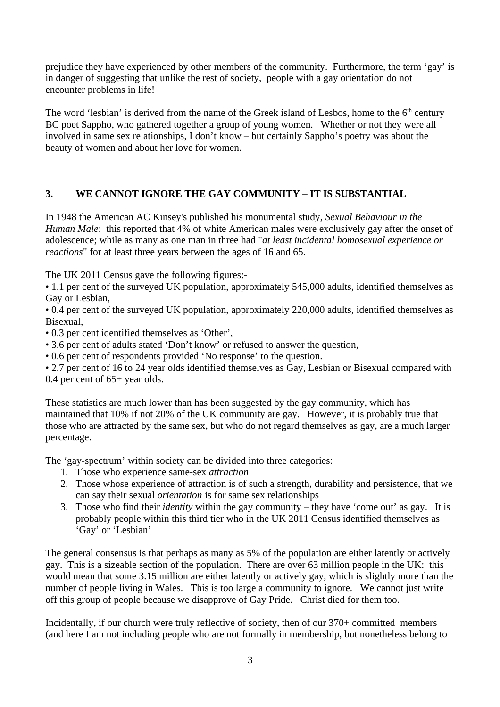prejudice they have experienced by other members of the community. Furthermore, the term 'gay' is in danger of suggesting that unlike the rest of society, people with a gay orientation do not encounter problems in life!

The word 'lesbian' is derived from the name of the Greek island of Lesbos, home to the  $6<sup>th</sup>$  century BC poet Sappho, who gathered together a group of young women. Whether or not they were all involved in same sex relationships, I don't know – but certainly Sappho's poetry was about the beauty of women and about her love for women.

# **3. WE CANNOT IGNORE THE GAY COMMUNITY – IT IS SUBSTANTIAL**

In 1948 the American AC Kinsey's published his monumental study, *Sexual Behaviour in the Human Male*: this reported that 4% of white American males were exclusively gay after the onset of adolescence; while as many as one man in three had "*at least incidental homosexual experience or reactions*" for at least three years between the ages of 16 and 65.

The UK 2011 Census gave the following figures:-

• 1.1 per cent of the surveyed UK population, approximately 545,000 adults, identified themselves as Gay or Lesbian,

• 0.4 per cent of the surveyed UK population, approximately 220,000 adults, identified themselves as Bisexual,

• 0.3 per cent identified themselves as 'Other',

• 3.6 per cent of adults stated 'Don't know' or refused to answer the question,

• 0.6 per cent of respondents provided 'No response' to the question.

• 2.7 per cent of 16 to 24 year olds identified themselves as Gay, Lesbian or Bisexual compared with 0.4 per cent of 65+ year olds.

These statistics are much lower than has been suggested by the gay community, which has maintained that 10% if not 20% of the UK community are gay. However, it is probably true that those who are attracted by the same sex, but who do not regard themselves as gay, are a much larger percentage.

The 'gay-spectrum' within society can be divided into three categories:

- 1. Those who experience same-sex *attraction*
- 2. Those whose experience of attraction is of such a strength, durability and persistence, that we can say their sexual *orientation* is for same sex relationships
- 3. Those who find their *identity* within the gay community they have 'come out' as gay. It is probably people within this third tier who in the UK 2011 Census identified themselves as 'Gay' or 'Lesbian'

The general consensus is that perhaps as many as 5% of the population are either latently or actively gay. This is a sizeable section of the population. There are over 63 million people in the UK: this would mean that some 3.15 million are either latently or actively gay, which is slightly more than the number of people living in Wales. This is too large a community to ignore. We cannot just write off this group of people because we disapprove of Gay Pride. Christ died for them too.

Incidentally, if our church were truly reflective of society, then of our 370+ committed members (and here I am not including people who are not formally in membership, but nonetheless belong to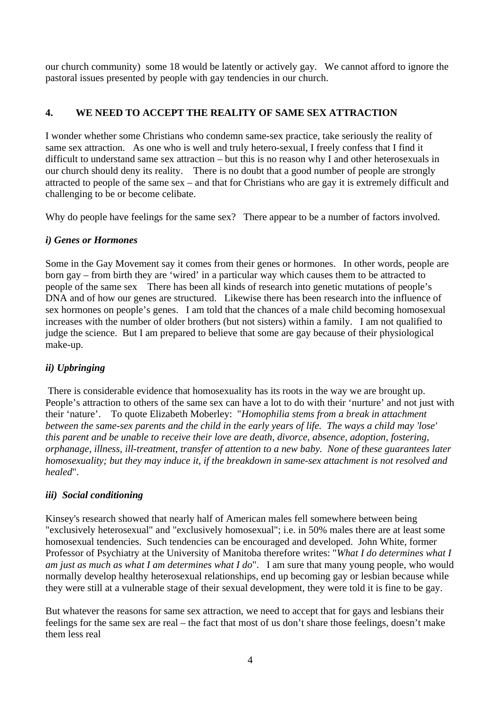our church community) some 18 would be latently or actively gay. We cannot afford to ignore the pastoral issues presented by people with gay tendencies in our church.

# **4. WE NEED TO ACCEPT THE REALITY OF SAME SEX ATTRACTION**

I wonder whether some Christians who condemn same-sex practice, take seriously the reality of same sex attraction. As one who is well and truly hetero-sexual, I freely confess that I find it difficult to understand same sex attraction – but this is no reason why I and other heterosexuals in our church should deny its reality. There is no doubt that a good number of people are strongly attracted to people of the same sex – and that for Christians who are gay it is extremely difficult and challenging to be or become celibate.

Why do people have feelings for the same sex? There appear to be a number of factors involved.

# *i) Genes or Hormones*

Some in the Gay Movement say it comes from their genes or hormones. In other words, people are born gay – from birth they are 'wired' in a particular way which causes them to be attracted to people of the same sex There has been all kinds of research into genetic mutations of people's DNA and of how our genes are structured. Likewise there has been research into the influence of sex hormones on people's genes. I am told that the chances of a male child becoming homosexual increases with the number of older brothers (but not sisters) within a family. I am not qualified to judge the science. But I am prepared to believe that some are gay because of their physiological make-up.

# *ii) Upbringing*

There is considerable evidence that homosexuality has its roots in the way we are brought up. People's attraction to others of the same sex can have a lot to do with their 'nurture' and not just with their 'nature'. To quote Elizabeth Moberley: "*Homophilia stems from a break in attachment between the same-sex parents and the child in the early years of life. The ways a child may 'lose' this parent and be unable to receive their love are death, divorce, absence, adoption, fostering, orphanage, illness, ill-treatment, transfer of attention to a new baby. None of these guarantees later homosexuality; but they may induce it, if the breakdown in same-sex attachment is not resolved and healed*".

# *iii) Social conditioning*

Kinsey's research showed that nearly half of American males fell somewhere between being "exclusively heterosexual" and "exclusively homosexual"; i.e. in 50% males there are at least some homosexual tendencies. Such tendencies can be encouraged and developed. John White, former Professor of Psychiatry at the University of Manitoba therefore writes: "*What I do determines what I am just as much as what I am determines what I do*". I am sure that many young people, who would normally develop healthy heterosexual relationships, end up becoming gay or lesbian because while they were still at a vulnerable stage of their sexual development, they were told it is fine to be gay.

But whatever the reasons for same sex attraction, we need to accept that for gays and lesbians their feelings for the same sex are real – the fact that most of us don't share those feelings, doesn't make them less real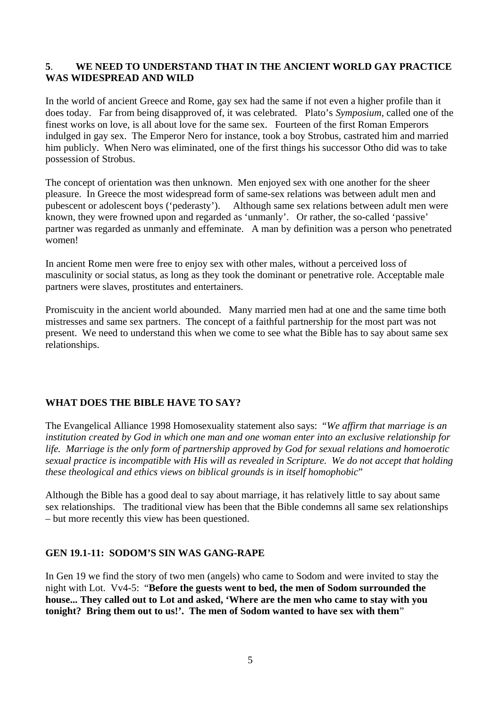#### **5**. **WE NEED TO UNDERSTAND THAT IN THE ANCIENT WORLD GAY PRACTICE WAS WIDESPREAD AND WILD**

In the world of ancient Greece and Rome, gay sex had the same if not even a higher profile than it does today. Far from being disapproved of, it was celebrated. Plato's *Symposium*, called one of the finest works on love, is all about love for the same sex. Fourteen of the first Roman Emperors indulged in gay sex. The Emperor Nero for instance, took a boy Strobus, castrated him and married him publicly. When Nero was eliminated, one of the first things his successor Otho did was to take possession of Strobus.

The concept of orientation was then unknown. Men enjoyed sex with one another for the sheer pleasure. In Greece the most widespread form of same-sex relations was between adult men and pubescent or adolescent boys ('pederasty'). Although same sex relations between adult men were known, they were frowned upon and regarded as 'unmanly'. Or rather, the so-called 'passive' partner was regarded as unmanly and effeminate. A man by definition was a person who penetrated women!

In ancient Rome men were free to enjoy sex with other males, without a perceived loss of masculinity or social status, as long as they took the dominant or penetrative role. Acceptable male partners were slaves, prostitutes and entertainers.

Promiscuity in the ancient world abounded. Many married men had at one and the same time both mistresses and same sex partners. The concept of a faithful partnership for the most part was not present. We need to understand this when we come to see what the Bible has to say about same sex relationships.

## **WHAT DOES THE BIBLE HAVE TO SAY?**

The Evangelical Alliance 1998 Homosexuality statement also says: "*We affirm that marriage is an institution created by God in which one man and one woman enter into an exclusive relationship for life. Marriage is the only form of partnership approved by God for sexual relations and homoerotic sexual practice is incompatible with His will as revealed in Scripture. We do not accept that holding these theological and ethics views on biblical grounds is in itself homophobic*"

Although the Bible has a good deal to say about marriage, it has relatively little to say about same sex relationships. The traditional view has been that the Bible condemns all same sex relationships – but more recently this view has been questioned.

## **GEN 19.1-11: SODOM'S SIN WAS GANG-RAPE**

In Gen 19 we find the story of two men (angels) who came to Sodom and were invited to stay the night with Lot. Vv4-5: "**Before the guests went to bed, the men of Sodom surrounded the house... They called out to Lot and asked, 'Where are the men who came to stay with you tonight? Bring them out to us!'. The men of Sodom wanted to have sex with them**"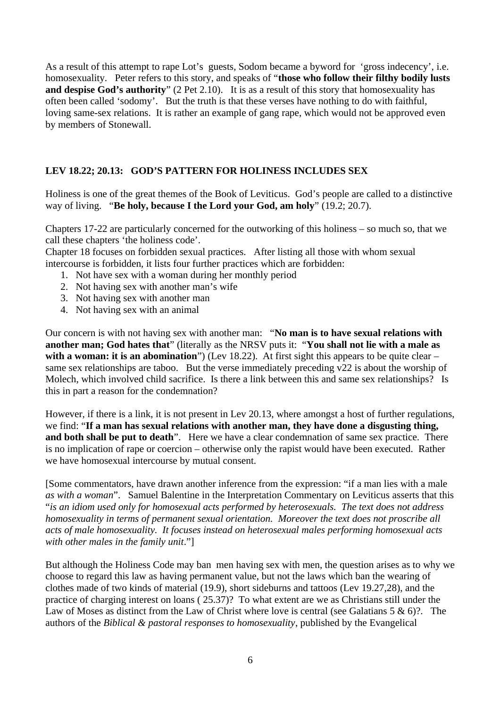As a result of this attempt to rape Lot's guests, Sodom became a byword for 'gross indecency', i.e. homosexuality. Peter refers to this story, and speaks of "**those who follow their filthy bodily lusts and despise God's authority**" (2 Pet 2.10). It is as a result of this story that homosexuality has often been called 'sodomy'. But the truth is that these verses have nothing to do with faithful, loving same-sex relations. It is rather an example of gang rape, which would not be approved even by members of Stonewall.

# **LEV 18.22; 20.13: GOD'S PATTERN FOR HOLINESS INCLUDES SEX**

Holiness is one of the great themes of the Book of Leviticus. God's people are called to a distinctive way of living. "**Be holy, because I the Lord your God, am holy**" (19.2; 20.7).

Chapters 17-22 are particularly concerned for the outworking of this holiness – so much so, that we call these chapters 'the holiness code'.

Chapter 18 focuses on forbidden sexual practices. After listing all those with whom sexual intercourse is forbidden, it lists four further practices which are forbidden:

- 1. Not have sex with a woman during her monthly period
- 2. Not having sex with another man's wife
- 3. Not having sex with another man
- 4. Not having sex with an animal

Our concern is with not having sex with another man: "**No man is to have sexual relations with another man; God hates that**" (literally as the NRSV puts it: "**You shall not lie with a male as with a woman: it is an abomination**") (Lev 18.22). At first sight this appears to be quite clear – same sex relationships are taboo. But the verse immediately preceding v22 is about the worship of Molech, which involved child sacrifice. Is there a link between this and same sex relationships? Is this in part a reason for the condemnation?

However, if there is a link, it is not present in Lev 20.13, where amongst a host of further regulations, we find: "**If a man has sexual relations with another man, they have done a disgusting thing, and both shall be put to death**". Here we have a clear condemnation of same sex practice. There is no implication of rape or coercion – otherwise only the rapist would have been executed. Rather we have homosexual intercourse by mutual consent.

[Some commentators, have drawn another inference from the expression: "if a man lies with a male *as with a woman*". Samuel Balentine in the Interpretation Commentary on Leviticus asserts that this "*is an idiom used only for homosexual acts performed by heterosexuals. The text does not address homosexuality in terms of permanent sexual orientation. Moreover the text does not proscribe all acts of male homosexuality. It focuses instead on heterosexual males performing homosexual acts with other males in the family unit*."]

But although the Holiness Code may ban men having sex with men, the question arises as to why we choose to regard this law as having permanent value, but not the laws which ban the wearing of clothes made of two kinds of material (19.9), short sideburns and tattoos (Lev 19.27,28), and the practice of charging interest on loans ( 25.37)? To what extent are we as Christians still under the Law of Moses as distinct from the Law of Christ where love is central (see Galatians 5 & 6)?. The authors of the *Biblical & pastoral responses to homosexuality*, published by the Evangelical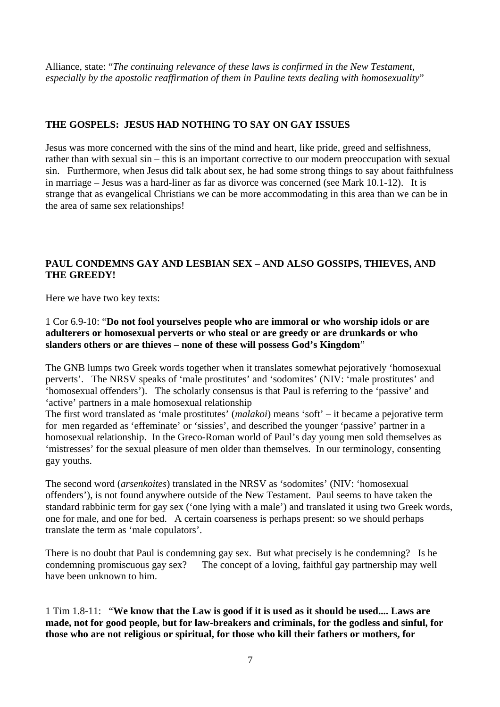Alliance, state: "*The continuing relevance of these laws is confirmed in the New Testament, especially by the apostolic reaffirmation of them in Pauline texts dealing with homosexuality*"

## **THE GOSPELS: JESUS HAD NOTHING TO SAY ON GAY ISSUES**

Jesus was more concerned with the sins of the mind and heart, like pride, greed and selfishness, rather than with sexual sin – this is an important corrective to our modern preoccupation with sexual sin. Furthermore, when Jesus did talk about sex, he had some strong things to say about faithfulness in marriage – Jesus was a hard-liner as far as divorce was concerned (see Mark 10.1-12). It is strange that as evangelical Christians we can be more accommodating in this area than we can be in the area of same sex relationships!

## **PAUL CONDEMNS GAY AND LESBIAN SEX – AND ALSO GOSSIPS, THIEVES, AND THE GREEDY!**

Here we have two key texts:

## 1 Cor 6.9-10: "**Do not fool yourselves people who are immoral or who worship idols or are adulterers or homosexual perverts or who steal or are greedy or are drunkards or who slanders others or are thieves – none of these will possess God's Kingdom**"

The GNB lumps two Greek words together when it translates somewhat pejoratively 'homosexual perverts'. The NRSV speaks of 'male prostitutes' and 'sodomites' (NIV: 'male prostitutes' and 'homosexual offenders'). The scholarly consensus is that Paul is referring to the 'passive' and 'active' partners in a male homosexual relationship

The first word translated as 'male prostitutes' (*malakoi*) means 'soft' – it became a pejorative term for men regarded as 'effeminate' or 'sissies', and described the younger 'passive' partner in a homosexual relationship. In the Greco-Roman world of Paul's day young men sold themselves as 'mistresses' for the sexual pleasure of men older than themselves. In our terminology, consenting gay youths.

The second word (*arsenkoites*) translated in the NRSV as 'sodomites' (NIV: 'homosexual offenders'), is not found anywhere outside of the New Testament. Paul seems to have taken the standard rabbinic term for gay sex ('one lying with a male') and translated it using two Greek words, one for male, and one for bed. A certain coarseness is perhaps present: so we should perhaps translate the term as 'male copulators'.

There is no doubt that Paul is condemning gay sex. But what precisely is he condemning? Is he condemning promiscuous gay sex? The concept of a loving, faithful gay partnership may well have been unknown to him.

1 Tim 1.8-11: "**We know that the Law is good if it is used as it should be used.... Laws are made, not for good people, but for law-breakers and criminals, for the godless and sinful, for those who are not religious or spiritual, for those who kill their fathers or mothers, for**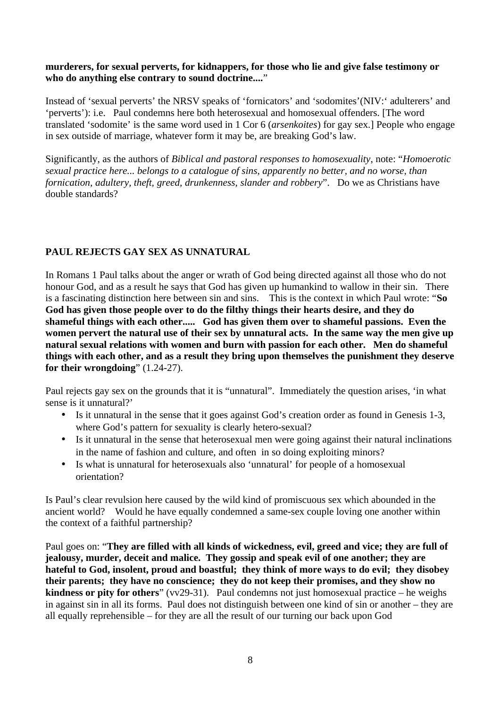#### **murderers, for sexual perverts, for kidnappers, for those who lie and give false testimony or who do anything else contrary to sound doctrine....**"

Instead of 'sexual perverts' the NRSV speaks of 'fornicators' and 'sodomites'(NIV:' adulterers' and 'perverts'): i.e. Paul condemns here both heterosexual and homosexual offenders. [The word translated 'sodomite' is the same word used in 1 Cor 6 (*arsenkoites*) for gay sex.] People who engage in sex outside of marriage, whatever form it may be, are breaking God's law.

Significantly, as the authors of *Biblical and pastoral responses to homosexuality*, note: "*Homoerotic sexual practice here... belongs to a catalogue of sins, apparently no better, and no worse, than fornication, adultery, theft, greed, drunkenness, slander and robbery*". Do we as Christians have double standards?

# **PAUL REJECTS GAY SEX AS UNNATURAL**

In Romans 1 Paul talks about the anger or wrath of God being directed against all those who do not honour God, and as a result he says that God has given up humankind to wallow in their sin. There is a fascinating distinction here between sin and sins. This is the context in which Paul wrote: "**So God has given those people over to do the filthy things their hearts desire, and they do shameful things with each other..... God has given them over to shameful passions. Even the women pervert the natural use of their sex by unnatural acts. In the same way the men give up natural sexual relations with women and burn with passion for each other. Men do shameful things with each other, and as a result they bring upon themselves the punishment they deserve for their wrongdoing**" (1.24-27).

Paul rejects gay sex on the grounds that it is "unnatural". Immediately the question arises, 'in what sense is it unnatural?'

- Is it unnatural in the sense that it goes against God's creation order as found in Genesis 1-3, where God's pattern for sexuality is clearly hetero-sexual?
- Is it unnatural in the sense that heterosexual men were going against their natural inclinations in the name of fashion and culture, and often in so doing exploiting minors?
- Is what is unnatural for heterosexuals also 'unnatural' for people of a homosexual orientation?

Is Paul's clear revulsion here caused by the wild kind of promiscuous sex which abounded in the ancient world? Would he have equally condemned a same-sex couple loving one another within the context of a faithful partnership?

Paul goes on: "**They are filled with all kinds of wickedness, evil, greed and vice; they are full of jealousy, murder, deceit and malice. They gossip and speak evil of one another; they are hateful to God, insolent, proud and boastful; they think of more ways to do evil; they disobey their parents; they have no conscience; they do not keep their promises, and they show no kindness or pity for others**" (vv29-31). Paul condemns not just homosexual practice – he weighs in against sin in all its forms. Paul does not distinguish between one kind of sin or another – they are all equally reprehensible – for they are all the result of our turning our back upon God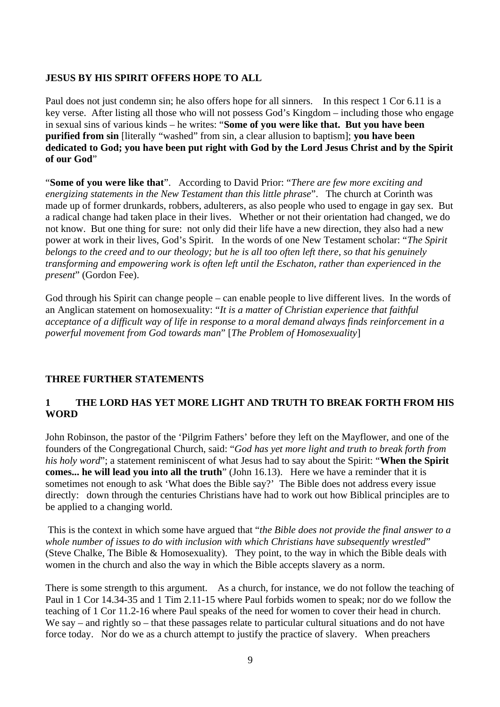#### **JESUS BY HIS SPIRIT OFFERS HOPE TO ALL**

Paul does not just condemn sin; he also offers hope for all sinners. In this respect 1 Cor 6.11 is a key verse. After listing all those who will not possess God's Kingdom – including those who engage in sexual sins of various kinds – he writes: "**Some of you were like that. But you have been purified from sin** [literally "washed" from sin, a clear allusion to baptism]; **you have been dedicated to God; you have been put right with God by the Lord Jesus Christ and by the Spirit of our God**"

"**Some of you were like that**". According to David Prior: "*There are few more exciting and energizing statements in the New Testament than this little phrase*". The church at Corinth was made up of former drunkards, robbers, adulterers, as also people who used to engage in gay sex. But a radical change had taken place in their lives. Whether or not their orientation had changed, we do not know. But one thing for sure: not only did their life have a new direction, they also had a new power at work in their lives, God's Spirit. In the words of one New Testament scholar: "*The Spirit belongs to the creed and to our theology; but he is all too often left there, so that his genuinely transforming and empowering work is often left until the Eschaton, rather than experienced in the present*" (Gordon Fee).

God through his Spirit can change people – can enable people to live different lives. In the words of an Anglican statement on homosexuality: "*It is a matter of Christian experience that faithful acceptance of a difficult way of life in response to a moral demand always finds reinforcement in a powerful movement from God towards man*" [*The Problem of Homosexuality*]

## **THREE FURTHER STATEMENTS**

# **1 THE LORD HAS YET MORE LIGHT AND TRUTH TO BREAK FORTH FROM HIS WORD**

John Robinson, the pastor of the 'Pilgrim Fathers' before they left on the Mayflower, and one of the founders of the Congregational Church, said: "*God has yet more light and truth to break forth from his holy word*"; a statement reminiscent of what Jesus had to say about the Spirit: "**When the Spirit comes... he will lead you into all the truth**" (John 16.13). Here we have a reminder that it is sometimes not enough to ask 'What does the Bible say?' The Bible does not address every issue directly: down through the centuries Christians have had to work out how Biblical principles are to be applied to a changing world.

This is the context in which some have argued that "*the Bible does not provide the final answer to a whole number of issues to do with inclusion with which Christians have subsequently wrestled*" (Steve Chalke, The Bible & Homosexuality). They point, to the way in which the Bible deals with women in the church and also the way in which the Bible accepts slavery as a norm.

There is some strength to this argument. As a church, for instance, we do not follow the teaching of Paul in 1 Cor 14.34-35 and 1 Tim 2.11-15 where Paul forbids women to speak; nor do we follow the teaching of 1 Cor 11.2-16 where Paul speaks of the need for women to cover their head in church. We say – and rightly so – that these passages relate to particular cultural situations and do not have force today. Nor do we as a church attempt to justify the practice of slavery. When preachers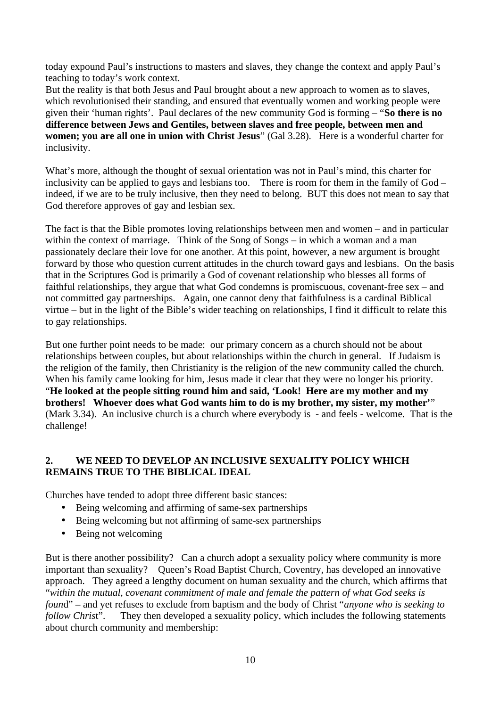today expound Paul's instructions to masters and slaves, they change the context and apply Paul's teaching to today's work context.

But the reality is that both Jesus and Paul brought about a new approach to women as to slaves, which revolutionised their standing, and ensured that eventually women and working people were given their 'human rights'. Paul declares of the new community God is forming – "**So there is no difference between Jews and Gentiles, between slaves and free people, between men and women; you are all one in union with Christ Jesus**" (Gal 3.28). Here is a wonderful charter for inclusivity.

What's more, although the thought of sexual orientation was not in Paul's mind, this charter for inclusivity can be applied to gays and lesbians too. There is room for them in the family of God – indeed, if we are to be truly inclusive, then they need to belong. BUT this does not mean to say that God therefore approves of gay and lesbian sex.

The fact is that the Bible promotes loving relationships between men and women – and in particular within the context of marriage. Think of the Song of Songs – in which a woman and a man passionately declare their love for one another. At this point, however, a new argument is brought forward by those who question current attitudes in the church toward gays and lesbians. On the basis that in the Scriptures God is primarily a God of covenant relationship who blesses all forms of faithful relationships, they argue that what God condemns is promiscuous, covenant-free sex – and not committed gay partnerships. Again, one cannot deny that faithfulness is a cardinal Biblical virtue – but in the light of the Bible's wider teaching on relationships, I find it difficult to relate this to gay relationships.

But one further point needs to be made: our primary concern as a church should not be about relationships between couples, but about relationships within the church in general. If Judaism is the religion of the family, then Christianity is the religion of the new community called the church. When his family came looking for him, Jesus made it clear that they were no longer his priority. "**He looked at the people sitting round him and said, 'Look! Here are my mother and my brothers! Whoever does what God wants him to do is my brother, my sister, my mother'**" (Mark 3.34). An inclusive church is a church where everybody is - and feels - welcome. That is the challenge!

## **2. WE NEED TO DEVELOP AN INCLUSIVE SEXUALITY POLICY WHICH REMAINS TRUE TO THE BIBLICAL IDEAL**

Churches have tended to adopt three different basic stances:

- Being welcoming and affirming of same-sex partnerships
- Being welcoming but not affirming of same-sex partnerships
- Being not welcoming

But is there another possibility? Can a church adopt a sexuality policy where community is more important than sexuality? Queen's Road Baptist Church, Coventry, has developed an innovative approach. They agreed a lengthy document on human sexuality and the church, which affirms that "*within the mutual, covenant commitment of male and female the pattern of what God seeks is foun*d" – and yet refuses to exclude from baptism and the body of Christ "*anyone who is seeking to follow Chris*t". They then developed a sexuality policy, which includes the following statements about church community and membership: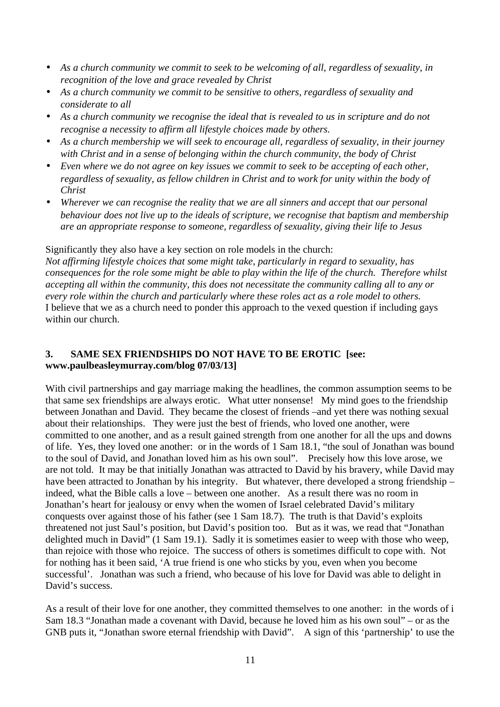- *As a church community we commit to seek to be welcoming of all, regardless of sexuality, in recognition of the love and grace revealed by Christ*
- *As a church community we commit to be sensitive to others, regardless of sexuality and considerate to all*
- *As a church community we recognise the ideal that is revealed to us in scripture and do not recognise a necessity to affirm all lifestyle choices made by others.*
- *As a church membership we will seek to encourage all, regardless of sexuality, in their journey with Christ and in a sense of belonging within the church community, the body of Christ*
- *Even where we do not agree on key issues we commit to seek to be accepting of each other, regardless of sexuality, as fellow children in Christ and to work for unity within the body of Christ*
- *Wherever we can recognise the reality that we are all sinners and accept that our personal behaviour does not live up to the ideals of scripture, we recognise that baptism and membership are an appropriate response to someone, regardless of sexuality, giving their life to Jesus*

Significantly they also have a key section on role models in the church:

*Not affirming lifestyle choices that some might take, particularly in regard to sexuality, has consequences for the role some might be able to play within the life of the church. Therefore whilst accepting all within the community, this does not necessitate the community calling all to any or every role within the church and particularly where these roles act as a role model to others.* I believe that we as a church need to ponder this approach to the vexed question if including gays within our church.

## **3. SAME SEX FRIENDSHIPS DO NOT HAVE TO BE EROTIC [see: www.paulbeasleymurray.com/blog 07/03/13]**

With civil partnerships and gay marriage making the headlines, the common assumption seems to be that same sex friendships are always erotic. What utter nonsense! My mind goes to the friendship between Jonathan and David. They became the closest of friends –and yet there was nothing sexual about their relationships. They were just the best of friends, who loved one another, were committed to one another, and as a result gained strength from one another for all the ups and downs of life. Yes, they loved one another: or in the words of 1 Sam 18.1, "the soul of Jonathan was bound to the soul of David, and Jonathan loved him as his own soul". Precisely how this love arose, we are not told. It may be that initially Jonathan was attracted to David by his bravery, while David may have been attracted to Jonathan by his integrity. But whatever, there developed a strong friendship – indeed, what the Bible calls a love – between one another. As a result there was no room in Jonathan's heart for jealousy or envy when the women of Israel celebrated David's military conquests over against those of his father (see 1 Sam 18.7). The truth is that David's exploits threatened not just Saul's position, but David's position too. But as it was, we read that "Jonathan delighted much in David" (1 Sam 19.1). Sadly it is sometimes easier to weep with those who weep, than rejoice with those who rejoice. The success of others is sometimes difficult to cope with. Not for nothing has it been said, 'A true friend is one who sticks by you, even when you become successful'. Jonathan was such a friend, who because of his love for David was able to delight in David's success.

As a result of their love for one another, they committed themselves to one another: in the words of i Sam 18.3 "Jonathan made a covenant with David, because he loved him as his own soul" – or as the GNB puts it, "Jonathan swore eternal friendship with David". A sign of this 'partnership' to use the